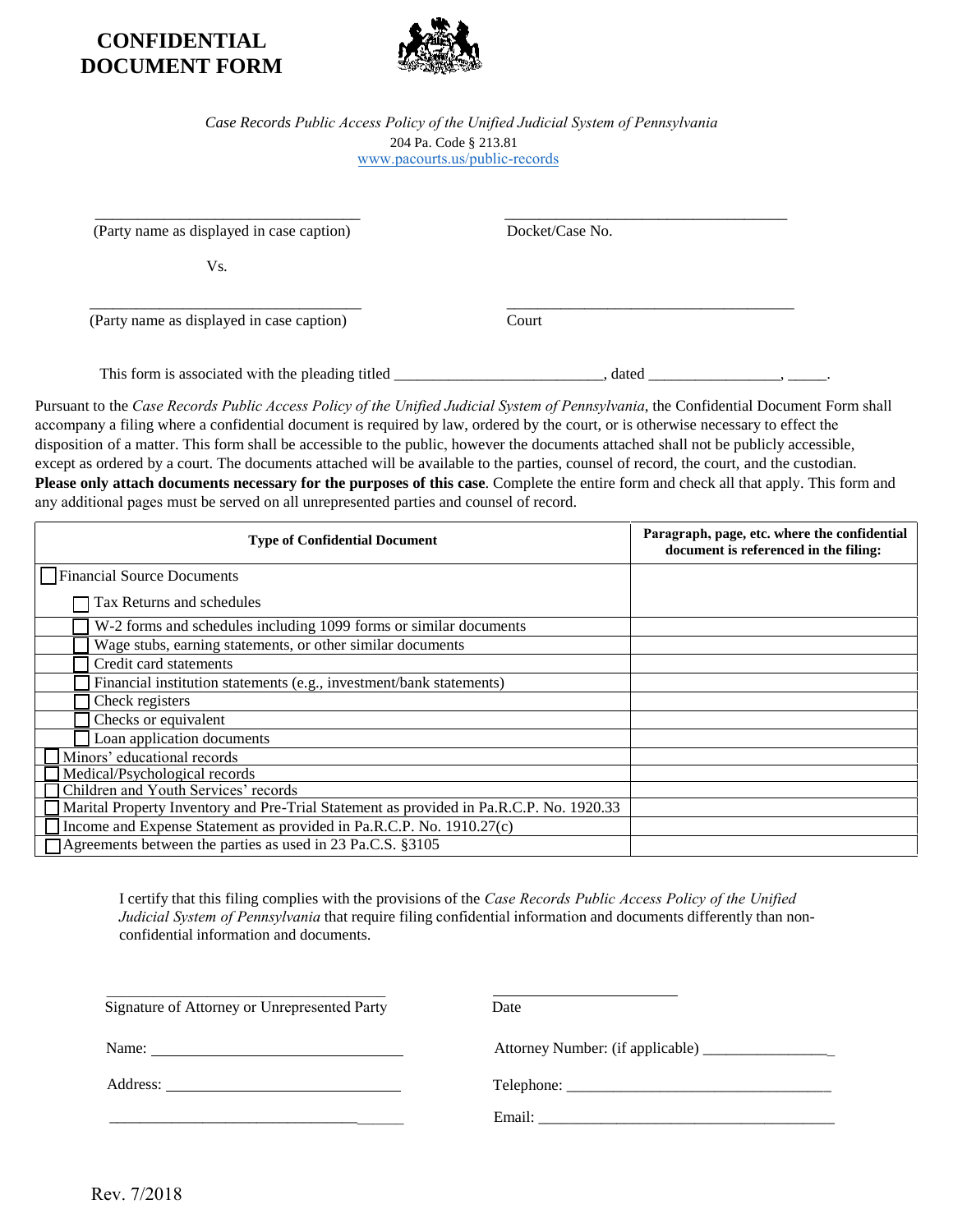## **CONFIDENTIAL DOCUMENT FORM**



## *Case Records Public Access Policy of the Unified Judicial System of Pennsylvania* 204 Pa. Code § 213.81 www.pacourts.us/public-records

 $\frac{1}{2}$  , and the set of the set of the set of the set of the set of the set of the set of the set of the set of the set of the set of the set of the set of the set of the set of the set of the set of the set of the set

 $\overline{\phantom{a}}$  , and the contract of the contract of the contract of the contract of the contract of the contract of the contract of the contract of the contract of the contract of the contract of the contract of the contrac (Party name as displayed in case caption) Docket/Case No.

Vs.

(Party name as displayed in case caption) Court

This form is associated with the pleading titled \_\_\_\_\_\_\_\_\_\_\_\_\_\_\_\_\_\_\_\_\_, dated \_\_\_\_\_\_\_\_\_\_\_\_\_\_\_\_, \_\_\_\_\_\_,

Pursuant to the *Case Records Public Access Policy of the Unified Judicial System of Pennsylvania*, the Confidential Document Form shall accompany a filing where a confidential document is required by law, ordered by the court, or is otherwise necessary to effect the disposition of a matter. This form shall be accessible to the public, however the documents attached shall not be publicly accessible, except as ordered by a court. The documents attached will be available to the parties, counsel of record, the court, and the custodian. **Please only attach documents necessary for the purposes of this case**. Complete the entire form and check all that apply. This form and any additional pages must be served on all unrepresented parties and counsel of record.

| <b>Type of Confidential Document</b>                                                    | Paragraph, page, etc. where the confidential<br>document is referenced in the filing: |
|-----------------------------------------------------------------------------------------|---------------------------------------------------------------------------------------|
| Financial Source Documents                                                              |                                                                                       |
| Tax Returns and schedules                                                               |                                                                                       |
| W-2 forms and schedules including 1099 forms or similar documents                       |                                                                                       |
| Wage stubs, earning statements, or other similar documents                              |                                                                                       |
| Credit card statements                                                                  |                                                                                       |
| Financial institution statements (e.g., investment/bank statements)                     |                                                                                       |
| Check registers                                                                         |                                                                                       |
| Checks or equivalent                                                                    |                                                                                       |
| Loan application documents                                                              |                                                                                       |
| Minors' educational records                                                             |                                                                                       |
| Medical/Psychological records                                                           |                                                                                       |
| Children and Youth Services' records                                                    |                                                                                       |
| Marital Property Inventory and Pre-Trial Statement as provided in Pa.R.C.P. No. 1920.33 |                                                                                       |
| Income and Expense Statement as provided in Pa.R.C.P. No. 1910.27(c)                    |                                                                                       |
| Agreements between the parties as used in 23 Pa.C.S. §3105                              |                                                                                       |

I certify that this filing complies with the provisions of the *Case Records Public Access Policy of the Unified Judicial System of Pennsylvania* that require filing confidential information and documents differently than nonconfidential information and documents.

| Signature of Attorney or Unrepresented Party | Date |
|----------------------------------------------|------|

Name: Attorney Number: (if applicable) \_\_\_\_\_\_\_\_\_\_\_\_\_\_\_\_\_

Address: Telephone: \_\_\_\_\_\_\_\_\_\_\_\_\_\_\_\_\_\_\_\_\_\_\_\_\_\_\_\_\_\_\_\_\_\_

\_\_\_\_\_\_\_\_\_\_\_\_\_\_\_\_\_\_\_\_\_\_\_\_\_\_\_\_\_\_\_\_\_\_\_\_\_\_ Email: \_\_\_\_\_\_\_\_\_\_\_\_\_\_\_\_\_\_\_\_\_\_\_\_\_\_\_\_\_\_\_\_\_\_\_\_\_\_

Rev. 7/2018